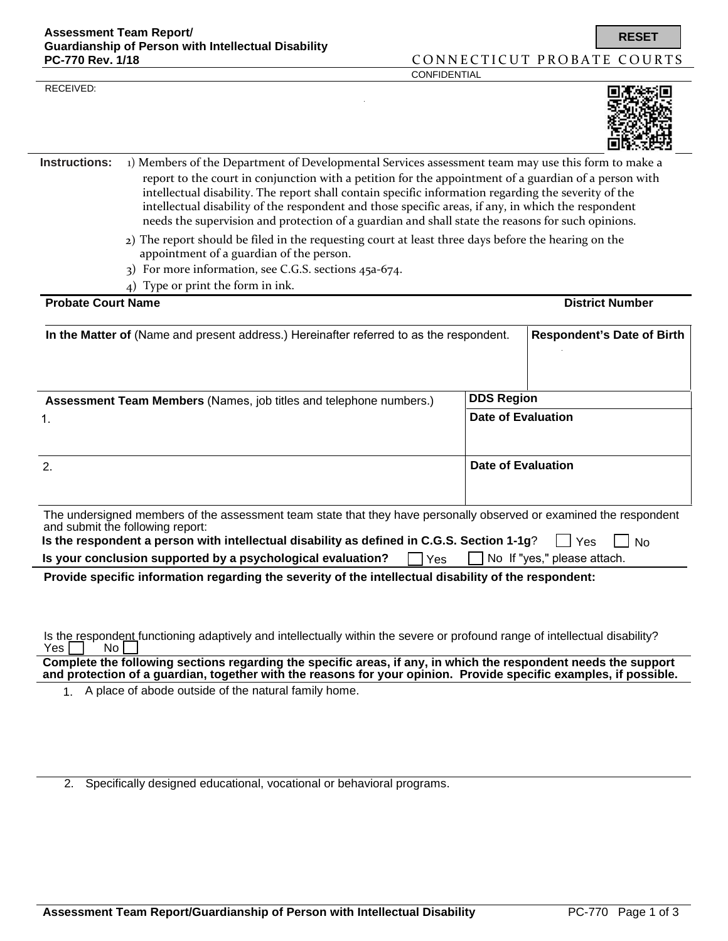RECEIVED:



**RESET**

- **Instructions:** 1) Members of the Department of Developmental Services assessment team may use this form to make a report to the court in conjunction with a petition for the appointment of a guardian of a person with intellectual disability. The report shall contain specific information regarding the severity of the intellectual disability of the respondent and those specific areas, if any, in which the respondent needs the supervision and protection of a guardian and shall state the reasons for such opinions.
	- 2) The report should be filed in the requesting court at least three days before the hearing on the appointment of a guardian of the person.
	- 3) For more information, see C.G.S. sections 45a-674.
	- 4) Type or print the form in ink.

| <b>Probate Court Name</b>                                                                                                                                                                                                                            |                    | <b>District Number</b>            |  |
|------------------------------------------------------------------------------------------------------------------------------------------------------------------------------------------------------------------------------------------------------|--------------------|-----------------------------------|--|
| In the Matter of (Name and present address.) Hereinafter referred to as the respondent.                                                                                                                                                              |                    | <b>Respondent's Date of Birth</b> |  |
| <b>Assessment Team Members (Names, job titles and telephone numbers.)</b>                                                                                                                                                                            |                    | <b>DDS Region</b>                 |  |
| 1.                                                                                                                                                                                                                                                   | Date of Evaluation |                                   |  |
| $\mathbf{2}$                                                                                                                                                                                                                                         |                    | Date of Evaluation                |  |
| The undersigned members of the assessment team state that they have personally observed or examined the respondent<br>and submit the following report:<br>Is the respondent a person with intellectual disability as defined in C.G.S. Section 1-1g? |                    | I l Yes<br>N <sub>0</sub>         |  |
| Is your conclusion supported by a psychological evaluation?<br>Yes                                                                                                                                                                                   |                    | No If "yes," please attach.       |  |
| Provide specific information regarding the severity of the intellectual disability of the respondent:                                                                                                                                                |                    |                                   |  |
|                                                                                                                                                                                                                                                      |                    |                                   |  |
|                                                                                                                                                                                                                                                      |                    |                                   |  |

Is the respondent functioning adaptively and intellectually within the severe or profound range of intellectual disability?<br>Yes  $\Box$  No  $\Box$  $Yes \nightharpoonup$ 

**Complete the following sections regarding the specific areas, if any, in which the respondent needs the support and protection of a guardian, together with the reasons for your opinion. Provide specific examples, if possible.** 

1. A place of abode outside of the natural family home.

2. Specifically designed educational, vocational or behavioral programs.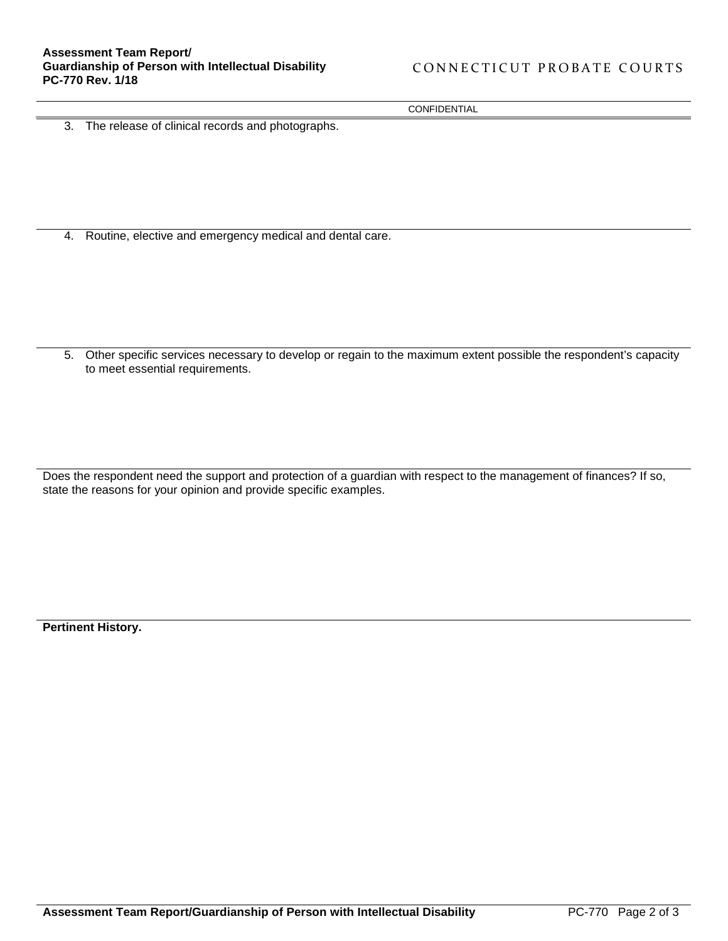CONFIDENTIAL

3. The release of clinical records and photographs.

4. Routine, elective and emergency medical and dental care.

5. Other specific services necessary to develop or regain to the maximum extent possible the respondent's capacity to meet essential requirements.

Does the respondent need the support and protection of a guardian with respect to the management of finances? If so, state the reasons for your opinion and provide specific examples.

**Pertinent History.**